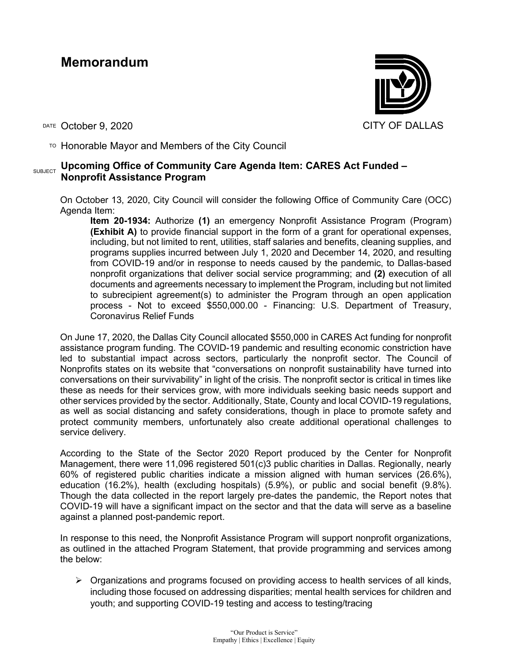## **Memorandum**

DATE October 9, 2020 CITY OF DALLAS

TO Honorable Mayor and Members of the City Council

## SUBJECT **Upcoming Office of Community Care Agenda Item: CARES Act Funded – Nonprofit Assistance Program**

On October 13, 2020, City Council will consider the following Office of Community Care (OCC) Agenda Item:

**Item 20-1934:** Authorize **(1)** an emergency Nonprofit Assistance Program (Program) **(Exhibit A)** to provide financial support in the form of a grant for operational expenses, including, but not limited to rent, utilities, staff salaries and benefits, cleaning supplies, and programs supplies incurred between July 1, 2020 and December 14, 2020, and resulting from COVID-19 and/or in response to needs caused by the pandemic, to Dallas-based nonprofit organizations that deliver social service programming; and **(2)** execution of all documents and agreements necessary to implement the Program, including but not limited to subrecipient agreement(s) to administer the Program through an open application process - Not to exceed \$550,000.00 - Financing: U.S. Department of Treasury, Coronavirus Relief Funds

On June 17, 2020, the Dallas City Council allocated \$550,000 in CARES Act funding for nonprofit assistance program funding. The COVID-19 pandemic and resulting economic constriction have led to substantial impact across sectors, particularly the nonprofit sector. The Council of Nonprofits states on its website that "conversations on nonprofit sustainability have turned into conversations on their survivability" in light of the crisis. The nonprofit sector is critical in times like these as needs for their services grow, with more individuals seeking basic needs support and other services provided by the sector. Additionally, State, County and local COVID-19 regulations, as well as social distancing and safety considerations, though in place to promote safety and protect community members, unfortunately also create additional operational challenges to service delivery.

According to the State of the Sector 2020 Report produced by the Center for Nonprofit Management, there were 11,096 registered 501(c)3 public charities in Dallas. Regionally, nearly 60% of registered public charities indicate a mission aligned with human services (26.6%), education (16.2%), health (excluding hospitals) (5.9%), or public and social benefit (9.8%). Though the data collected in the report largely pre-dates the pandemic, the Report notes that COVID-19 will have a significant impact on the sector and that the data will serve as a baseline against a planned post-pandemic report.

In response to this need, the Nonprofit Assistance Program will support nonprofit organizations, as outlined in the attached Program Statement, that provide programming and services among the below:

 $\triangleright$  Organizations and programs focused on providing access to health services of all kinds, including those focused on addressing disparities; mental health services for children and youth; and supporting COVID-19 testing and access to testing/tracing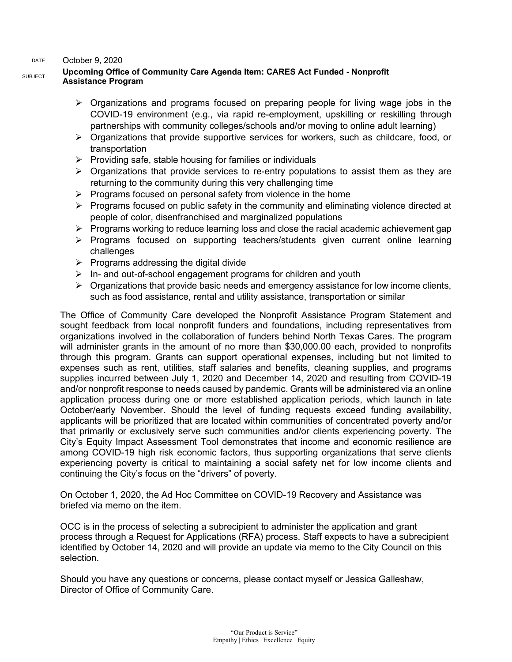## DATE October 9, 2020

## SUBJECT **Upcoming Office of Community Care Agenda Item: CARES Act Funded - Nonprofit Assistance Program**

- $\triangleright$  Organizations and programs focused on preparing people for living wage jobs in the COVID-19 environment (e.g., via rapid re-employment, upskilling or reskilling through partnerships with community colleges/schools and/or moving to online adult learning)
- $\triangleright$  Organizations that provide supportive services for workers, such as childcare, food, or transportation
- $\triangleright$  Providing safe, stable housing for families or individuals
- $\triangleright$  Organizations that provide services to re-entry populations to assist them as they are returning to the community during this very challenging time
- $\triangleright$  Programs focused on personal safety from violence in the home
- $\triangleright$  Programs focused on public safety in the community and eliminating violence directed at people of color, disenfranchised and marginalized populations
- $\triangleright$  Programs working to reduce learning loss and close the racial academic achievement gap
- $\triangleright$  Programs focused on supporting teachers/students given current online learning challenges
- $\triangleright$  Programs addressing the digital divide
- $\triangleright$  In- and out-of-school engagement programs for children and youth
- $\triangleright$  Organizations that provide basic needs and emergency assistance for low income clients, such as food assistance, rental and utility assistance, transportation or similar

The Office of Community Care developed the Nonprofit Assistance Program Statement and sought feedback from local nonprofit funders and foundations, including representatives from organizations involved in the collaboration of funders behind North Texas Cares. The program will administer grants in the amount of no more than \$30,000.00 each, provided to nonprofits through this program. Grants can support operational expenses, including but not limited to expenses such as rent, utilities, staff salaries and benefits, cleaning supplies, and programs supplies incurred between July 1, 2020 and December 14, 2020 and resulting from COVID-19 and/or nonprofit response to needs caused by pandemic. Grants will be administered via an online application process during one or more established application periods, which launch in late October/early November. Should the level of funding requests exceed funding availability, applicants will be prioritized that are located within communities of concentrated poverty and/or that primarily or exclusively serve such communities and/or clients experiencing poverty. The City's Equity Impact Assessment Tool demonstrates that income and economic resilience are among COVID-19 high risk economic factors, thus supporting organizations that serve clients experiencing poverty is critical to maintaining a social safety net for low income clients and continuing the City's focus on the "drivers" of poverty.

On October 1, 2020, the Ad Hoc Committee on COVID-19 Recovery and Assistance was briefed via memo on the item.

OCC is in the process of selecting a subrecipient to administer the application and grant process through a Request for Applications (RFA) process. Staff expects to have a subrecipient identified by October 14, 2020 and will provide an update via memo to the City Council on this selection.

Should you have any questions or concerns, please contact myself or Jessica Galleshaw, Director of Office of Community Care.